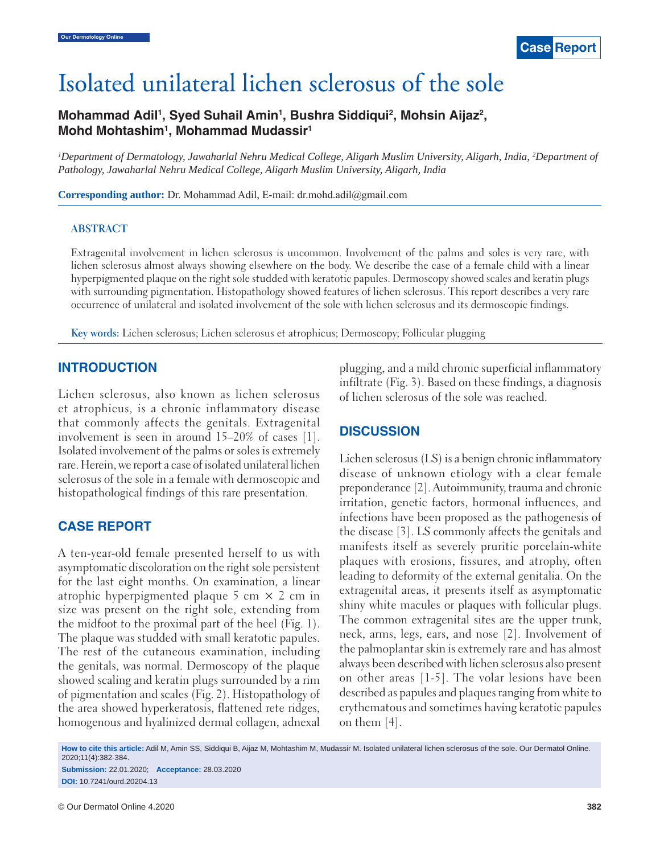# Isolated unilateral lichen sclerosus of the sole

# Mohammad Adil<sup>1</sup>, Syed Suhail Amin<sup>1</sup>, Bushra Siddiqui<sup>2</sup>, Mohsin Aijaz<sup>2</sup>, **Mohd Mohtashim1 , Mohammad Mudassir1**

*1 Department of Dermatology, Jawaharlal Nehru Medical College, Aligarh Muslim University, Aligarh, India, 2 Department of Pathology, Jawaharlal Nehru Medical College, Aligarh Muslim University, Aligarh, India*

**Corresponding author:** Dr. Mohammad Adil, E-mail: dr.mohd.adil@gmail.com

#### **ABSTRACT**

Extragenital involvement in lichen sclerosus is uncommon. Involvement of the palms and soles is very rare, with lichen sclerosus almost always showing elsewhere on the body. We describe the case of a female child with a linear hyperpigmented plaque on the right sole studded with keratotic papules. Dermoscopy showed scales and keratin plugs with surrounding pigmentation. Histopathology showed features of lichen sclerosus. This report describes a very rare occurrence of unilateral and isolated involvement of the sole with lichen sclerosus and its dermoscopic findings.

**Key words:** Lichen sclerosus; Lichen sclerosus et atrophicus; Dermoscopy; Follicular plugging

#### **INTRODUCTION**

Lichen sclerosus, also known as lichen sclerosus et atrophicus, is a chronic inflammatory disease that commonly affects the genitals. Extragenital involvement is seen in around 15–20% of cases [1]. Isolated involvement of the palms or soles is extremely rare. Herein, we report a case of isolated unilateral lichen sclerosus of the sole in a female with dermoscopic and histopathological findings of this rare presentation.

#### **CASE REPORT**

A ten-year-old female presented herself to us with asymptomatic discoloration on the right sole persistent for the last eight months. On examination, a linear atrophic hyperpigmented plaque  $5 \text{ cm} \times 2 \text{ cm}$  in size was present on the right sole, extending from the midfoot to the proximal part of the heel (Fig. 1). The plaque was studded with small keratotic papules. The rest of the cutaneous examination, including the genitals, was normal. Dermoscopy of the plaque showed scaling and keratin plugs surrounded by a rim of pigmentation and scales (Fig. 2). Histopathology of the area showed hyperkeratosis, flattened rete ridges, homogenous and hyalinized dermal collagen, adnexal plugging, and a mild chronic superficial inflammatory infiltrate (Fig. 3). Based on these findings, a diagnosis of lichen sclerosus of the sole was reached.

## **DISCUSSION**

Lichen sclerosus (LS) is a benign chronic inflammatory disease of unknown etiology with a clear female preponderance [2]. Autoimmunity, trauma and chronic irritation, genetic factors, hormonal influences, and infections have been proposed as the pathogenesis of the disease [3]. LS commonly affects the genitals and manifests itself as severely pruritic porcelain-white plaques with erosions, fissures, and atrophy, often leading to deformity of the external genitalia. On the extragenital areas, it presents itself as asymptomatic shiny white macules or plaques with follicular plugs. The common extragenital sites are the upper trunk, neck, arms, legs, ears, and nose [2]. Involvement of the palmoplantar skin is extremely rare and has almost always been described with lichen sclerosus also present on other areas [1-5]. The volar lesions have been described as papules and plaques ranging from white to erythematous and sometimes having keratotic papules on them [4].

**How to cite this article:** Adil M, Amin SS, Siddiqui B, Aijaz M, Mohtashim M, Mudassir M. Isolated unilateral lichen sclerosus of the sole. Our Dermatol Online. 2020;11(4):382-384.

**Submission:** 22.01.2020; **Acceptance:** 28.03.2020 **DOI:** 10.7241/ourd.20204.13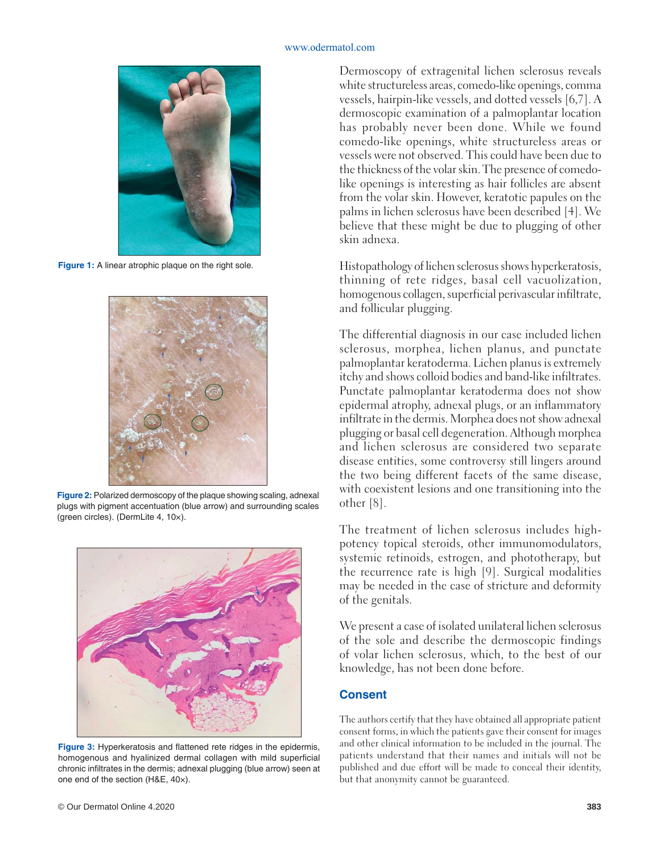#### www.odermatol.com



**Figure 1:** A linear atrophic plaque on the right sole.



**Figure 2:** Polarized dermoscopy of the plaque showing scaling, adnexal plugs with pigment accentuation (blue arrow) and surrounding scales (green circles). (DermLite 4, 10×).



**Figure 3:** Hyperkeratosis and flattened rete ridges in the epidermis, homogenous and hyalinized dermal collagen with mild superficial chronic infiltrates in the dermis; adnexal plugging (blue arrow) seen at one end of the section (H&E, 40×).

Dermoscopy of extragenital lichen sclerosus reveals white structureless areas, comedo-like openings, comma vessels, hairpin-like vessels, and dotted vessels [6,7]. A dermoscopic examination of a palmoplantar location has probably never been done. While we found comedo-like openings, white structureless areas or vessels were not observed. This could have been due to the thickness of the volar skin. The presence of comedolike openings is interesting as hair follicles are absent from the volar skin. However, keratotic papules on the palms in lichen sclerosus have been described [4]. We believe that these might be due to plugging of other skin adnexa.

Histopathology of lichen sclerosus shows hyperkeratosis, thinning of rete ridges, basal cell vacuolization, homogenous collagen, superficial perivascular infiltrate, and follicular plugging.

The differential diagnosis in our case included lichen sclerosus, morphea, lichen planus, and punctate palmoplantar keratoderma. Lichen planus is extremely itchy and shows colloid bodies and band-like infiltrates. Punctate palmoplantar keratoderma does not show epidermal atrophy, adnexal plugs, or an inflammatory infiltrate in the dermis. Morphea does not show adnexal plugging or basal cell degeneration. Although morphea and lichen sclerosus are considered two separate disease entities, some controversy still lingers around the two being different facets of the same disease, with coexistent lesions and one transitioning into the other [8].

The treatment of lichen sclerosus includes highpotency topical steroids, other immunomodulators, systemic retinoids, estrogen, and phototherapy, but the recurrence rate is high [9]. Surgical modalities may be needed in the case of stricture and deformity of the genitals.

We present a case of isolated unilateral lichen sclerosus of the sole and describe the dermoscopic findings of volar lichen sclerosus, which, to the best of our knowledge, has not been done before.

## **Consent**

The authors certify that they have obtained all appropriate patient consent forms, in which the patients gave their consent for images and other clinical information to be included in the journal. The patients understand that their names and initials will not be published and due effort will be made to conceal their identity, but that anonymity cannot be guaranteed.